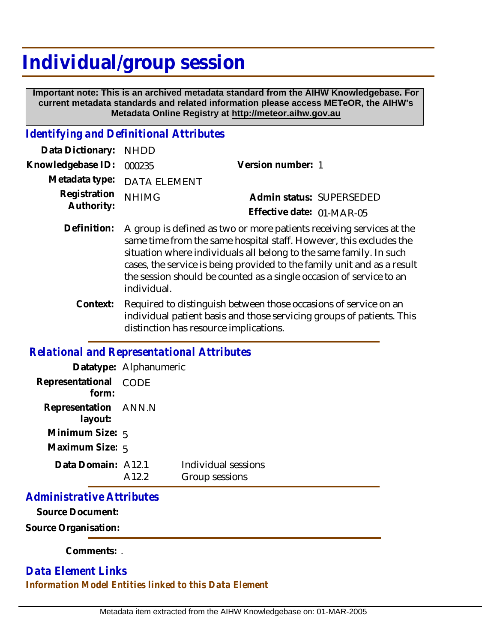# **Individual/group session**

 **Important note: This is an archived metadata standard from the AIHW Knowledgebase. For current metadata standards and related information please access METeOR, the AIHW's Metadata Online Registry at http://meteor.aihw.gov.au**

### *Identifying and Definitional Attributes*

| Data Dictionary: NHDD    |                             |                           |  |
|--------------------------|-----------------------------|---------------------------|--|
| Knowledgebase ID: 000235 |                             | Version number: 1         |  |
|                          | Metadata type: DATA ELEMENT |                           |  |
| Registration NHIMG       |                             | Admin status: SUPERSEDED  |  |
| Authority:               |                             | Effective date: 01-MAR-05 |  |

- Definition: A group is defined as two or more patients receiving services at the same time from the same hospital staff. However, this excludes the situation where individuals all belong to the same family. In such cases, the service is being provided to the family unit and as a result the session should be counted as a single occasion of service to an individual.
	- Required to distinguish between those occasions of service on an individual patient basis and those servicing groups of patients. This distinction has resource implications. **Context:**

#### *Relational and Representational Attributes* **Datatype:** Alphanumeric **Representational** CODE  **form: Representation** ANN.N  **layout: Minimum Size:** 5 **Maximum Size:** 5 Data Domain: A12.1 A12.2 Individual sessions Group sessions

## *Administrative Attributes*

**Source Document:**

**Source Organisation:**

**Comments:** .

## *Data Element Links Information Model Entities linked to this Data Element*